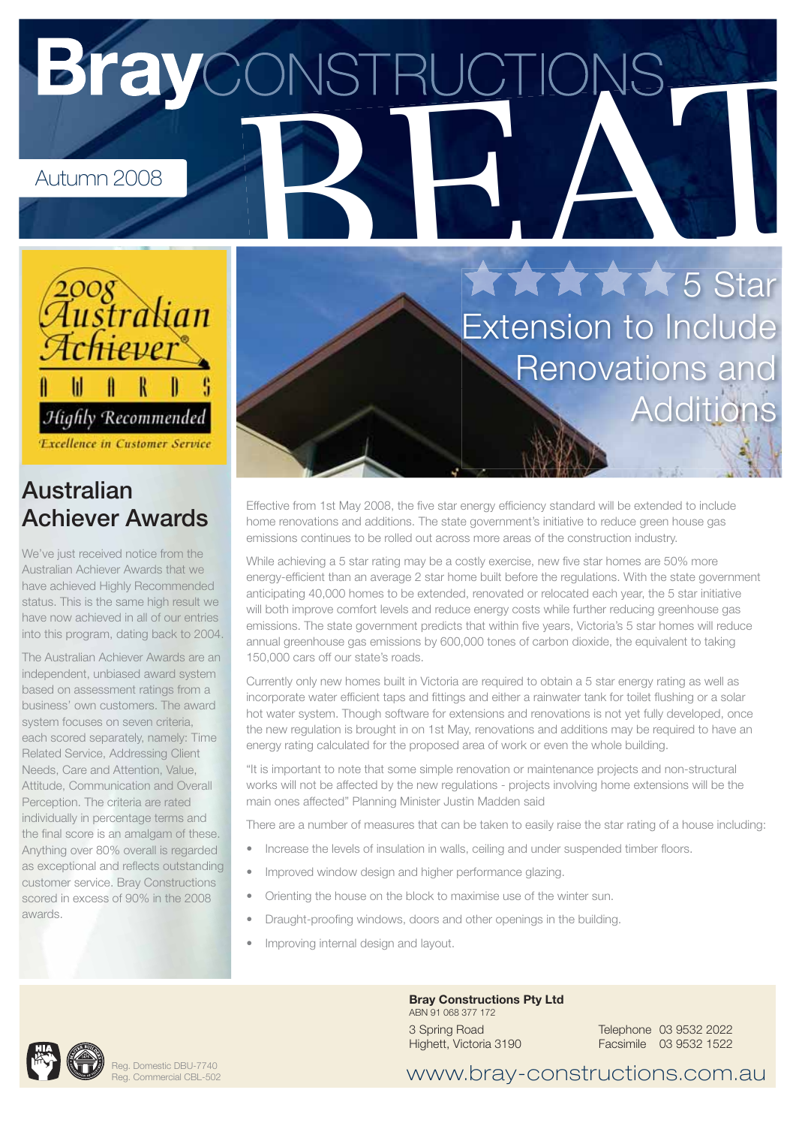# **Bray**CONSTRUCTION



**Excellence in Customer Service** 

## **Australian Achiever Awards**

We've just received notice from the Australian Achiever Awards that we have achieved Highly Recommended status. This is the same high result we have now achieved in all of our entries into this program, dating back to 2004.

The Australian Achiever Awards are an independent, unbiased award system based on assessment ratings from a business' own customers. The award system focuses on seven criteria, each scored separately, namely: Time Related Service, Addressing Client Needs, Care and Attention, Value, Attitude, Communication and Overall Perception. The criteria are rated individually in percentage terms and the final score is an amalgam of these. Anything over 80% overall is regarded as exceptional and reflects outstanding customer service. Bray Constructions scored in excess of 90% in the 2008 awards.

XXXXX 5 Star **Extension to Include** Renovations and **Addition** 

Effective from 1st May 2008, the five star energy efficiency standard will be extended to include home renovations and additions. The state government's initiative to reduce green house gas emissions continues to be rolled out across more areas of the construction industry.

While achieving a 5 star rating may be a costly exercise, new five star homes are 50% more energy-efficient than an average 2 star home built before the regulations. With the state government anticipating 40,000 homes to be extended, renovated or relocated each year, the 5 star initiative will both improve comfort levels and reduce energy costs while further reducing greenhouse gas emissions. The state government predicts that within five years, Victoria's 5 star homes will reduce annual greenhouse gas emissions by 600,000 tones of carbon dioxide, the equivalent to taking 150,000 cars off our state's roads.

Currently only new homes built in Victoria are required to obtain a 5 star energy rating as well as incorporate water efficient taps and fittings and either a rainwater tank for toilet flushing or a solar hot water system. Though software for extensions and renovations is not yet fully developed, once the new regulation is brought in on 1st May, renovations and additions may be required to have an energy rating calculated for the proposed area of work or even the whole building.

"It is important to note that some simple renovation or maintenance projects and non-structural works will not be affected by the new regulations - projects involving home extensions will be the main ones affected" Planning Minister Justin Madden said

There are a number of measures that can be taken to easily raise the star rating of a house including:

- Increase the levels of insulation in walls, ceiling and under suspended timber floors.
- Improved window design and higher performance glazing.
- Orienting the house on the block to maximise use of the winter sun.
- Draught-proofing windows, doors and other openings in the building.
- Improving internal design and layout.



Reg. Domestic DBU-7740 Reg. Commercial CBL-502

### **Bray Constructions Pty Ltd** ABN 91 068 377 172

3 Spring Road Highett, Victoria 3190

Telephone 03 9532 2022 Facsimile 03 9532 1522

www.bray-constructions.com.au